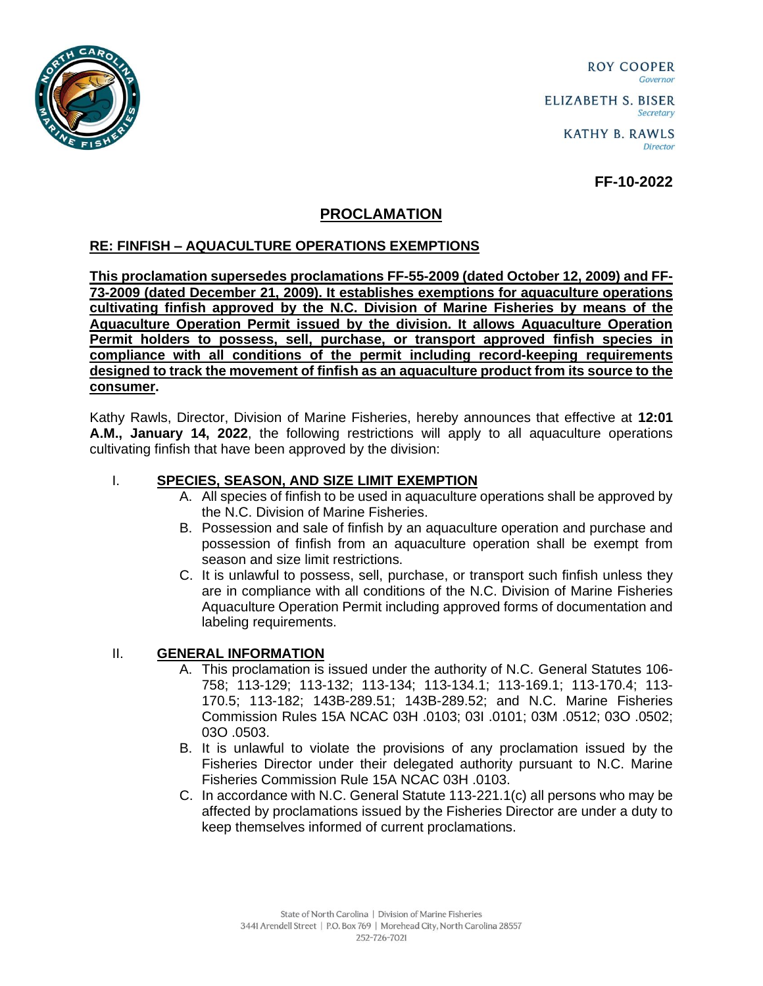

ROY COOPER Governor **ELIZABETH S. BISER** Secretary

> **KATHY B. RAWLS** Director

> > **FF-10-2022**

## **PROCLAMATION**

## **RE: FINFISH – AQUACULTURE OPERATIONS EXEMPTIONS**

**This proclamation supersedes proclamations FF-55-2009 (dated October 12, 2009) and FF-73-2009 (dated December 21, 2009). It establishes exemptions for aquaculture operations cultivating finfish approved by the N.C. Division of Marine Fisheries by means of the Aquaculture Operation Permit issued by the division. It allows Aquaculture Operation Permit holders to possess, sell, purchase, or transport approved finfish species in compliance with all conditions of the permit including record-keeping requirements designed to track the movement of finfish as an aquaculture product from its source to the consumer.**

Kathy Rawls, Director, Division of Marine Fisheries, hereby announces that effective at **12:01 A.M., January 14, 2022**, the following restrictions will apply to all aquaculture operations cultivating finfish that have been approved by the division:

## I. **SPECIES, SEASON, AND SIZE LIMIT EXEMPTION**

- A. All species of finfish to be used in aquaculture operations shall be approved by the N.C. Division of Marine Fisheries.
- B. Possession and sale of finfish by an aquaculture operation and purchase and possession of finfish from an aquaculture operation shall be exempt from season and size limit restrictions.
- C. It is unlawful to possess, sell, purchase, or transport such finfish unless they are in compliance with all conditions of the N.C. Division of Marine Fisheries Aquaculture Operation Permit including approved forms of documentation and labeling requirements.

## II. **GENERAL INFORMATION**

- A. This proclamation is issued under the authority of N.C. General Statutes 106- 758; 113-129; 113-132; 113-134; 113-134.1; 113-169.1; 113-170.4; 113- 170.5; 113-182; 143B-289.51; 143B-289.52; and N.C. Marine Fisheries Commission Rules 15A NCAC 03H .0103; 03I .0101; 03M .0512; 03O .0502; 03O .0503.
- B. It is unlawful to violate the provisions of any proclamation issued by the Fisheries Director under their delegated authority pursuant to N.C. Marine Fisheries Commission Rule 15A NCAC 03H .0103.
- C. In accordance with N.C. General Statute 113-221.1(c) all persons who may be affected by proclamations issued by the Fisheries Director are under a duty to keep themselves informed of current proclamations.